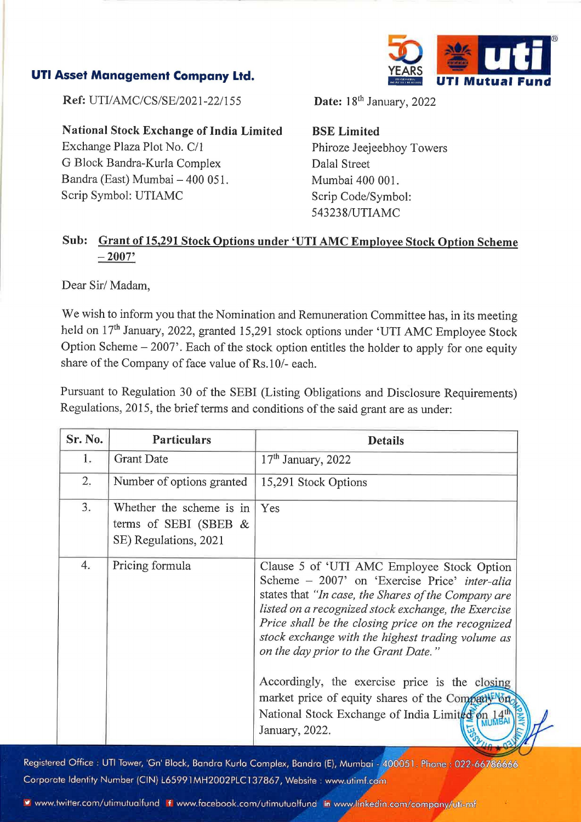

## Sub: Grant of 15,291 Stock Options under 'UTI AMC Employee Stock Option Scheme  $-2007'$

We wish to inform you that the Nomination and Remuneration Committee has, in its meeting held on 17<sup>th</sup> January, 2022, granted 15,291 stock options under 'UTI AMC Employee Stock Option Scheme  $-2007$ . Each of the stock option entitles the holder to apply for one equity share of the Company of face value of Rs.10/- each. Asset Management Company Ltd.<br>
Ref: UTI/AMC/CS/SE/2021-22/155<br>
National Stock Exchange of India Limited<br>
Exchange Plaza Plot No. C/1<br>
G Block Bandra-Kurla Complex<br>
Bandra (East) Mumbai – 400 051.<br>
Scrip Symbol: UTIAMC<br>
Su Asset Management Company Ltd.<br>
Ref: UTI/AMC/CS/SE/2021-22/155<br>
National Stock Exchange of India Limited<br>
Exchange Plaza Plot No. C/1<br>
G Block Bandra-Kurla Complex<br>
Bandra (East) Mumbai – 400 051.<br>
Scrip Symbol: UTIAMC<br>
Su Asset Management Company Ltd.<br>
Ref: UTI/AMC/CS/SE/2021-22/155<br>
National Stock Exchange of India Limited<br>
Exchange Plaza Plot No. C/1<br>
G Block Bandra-Kurla Complex<br>
Bandra (East) Mumbai – 400 051.<br>
Scrip Symbol: UTIAMC<br>
Su

|                                | <b>Asset Management Company Ltd.</b>                                                                                                                                      | <b>UTI Mutual</b>                                                                                                                                                                              |
|--------------------------------|---------------------------------------------------------------------------------------------------------------------------------------------------------------------------|------------------------------------------------------------------------------------------------------------------------------------------------------------------------------------------------|
| Ref: UTI/AMC/CS/SE/2021-22/155 |                                                                                                                                                                           | Date: 18 <sup>th</sup> January, 2022                                                                                                                                                           |
|                                | <b>National Stock Exchange of India Limited</b><br>Exchange Plaza Plot No. C/1<br>G Block Bandra-Kurla Complex<br>Bandra (East) Mumbai - 400 051.<br>Scrip Symbol: UTIAMC | <b>BSE</b> Limited<br>Phiroze Jeejeebhoy Towers<br>Dalal Street<br>Mumbai 400 001.<br>Scrip Code/Symbol:<br>543238/UTIAMC                                                                      |
| Sub:                           | $-2007'$                                                                                                                                                                  | Grant of 15,291 Stock Options under 'UTI AMC Employee Stock Option Scheme                                                                                                                      |
| Dear Sir/Madam,                |                                                                                                                                                                           |                                                                                                                                                                                                |
|                                |                                                                                                                                                                           | We wish to inform you that the Nomination and Remuneration Committee has, in its meeting<br>held on 17 <sup>th</sup> January, 2022, granted 15,291 stock options under 'UTI AMC Employee Stock |
|                                | share of the Company of face value of Rs.10/- each.                                                                                                                       | Option Scheme - 2007'. Each of the stock option entitles the holder to apply for one equity<br>Regulations, 2015, the brief terms and conditions of the said grant are as under:               |
| Sr. No.                        | Particulars                                                                                                                                                               | Pursuant to Regulation 30 of the SEBI (Listing Obligations and Disclosure Requirements)<br><b>Details</b>                                                                                      |
| 1.                             | <b>Grant Date</b>                                                                                                                                                         | 17 <sup>th</sup> January, 2022                                                                                                                                                                 |
| $\overline{2}$ .               | Number of options granted                                                                                                                                                 | 15,291 Stock Options                                                                                                                                                                           |
| 3.                             | Whether the scheme is in<br>terms of SEBI (SBEB $&$<br>SE) Regulations, 2021                                                                                              | Yes                                                                                                                                                                                            |

Registered Office : UTI Tower, 'Gn' Block, Bandra Kurla Complex, Bandra (E), Mumbai - 400051. Phone : 022-66786666 Corporate Identity Number (CIN) L65991MH2002PLC137867, Website : www.utimf.com<br>
¥ www.twitter.com/utimutualfund if www.facebook.com/utimutualfund in www.linkedin.com/company/uti-mf